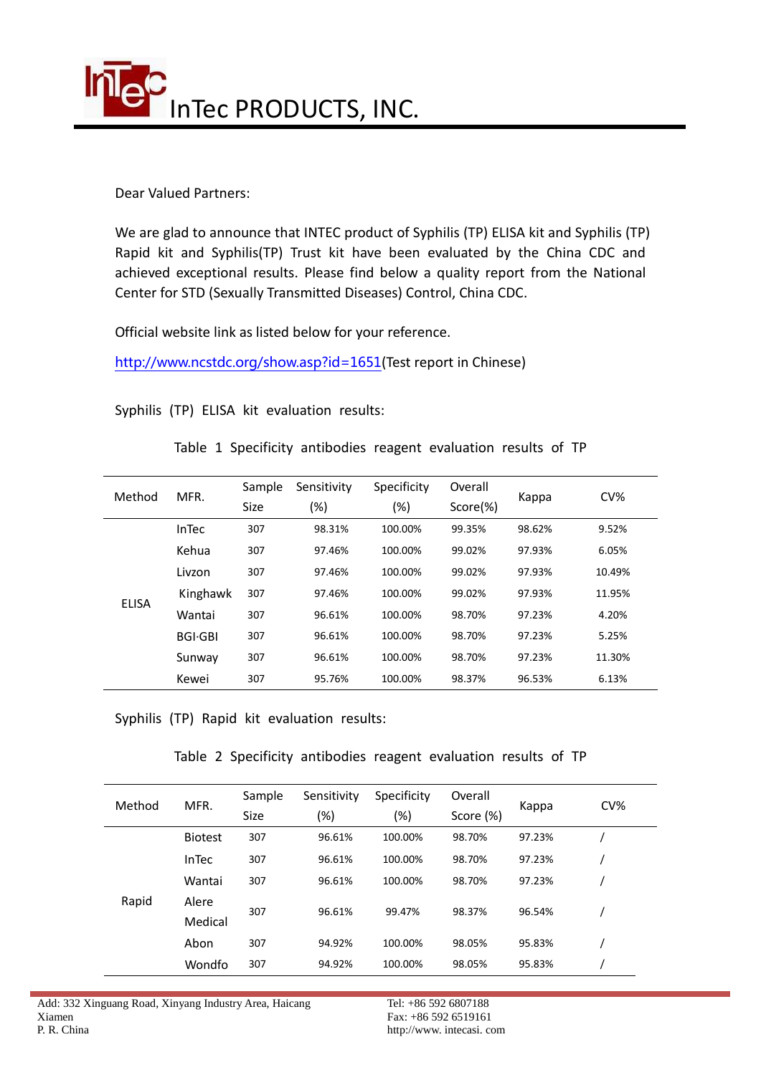

Dear Valued Partners:

We are glad to announce that INTEC product of Syphilis (TP) ELISA kit and Syphilis (TP) Rapid kit and Syphilis(TP) Trust kit have been evaluated by the China CDC and achieved exceptional results. Please find below a quality report from the National Center for STD (Sexually Transmitted Diseases) Control, China CDC.

Official website link as listed below for your reference.

<http://www.ncstdc.org/show.asp?id=1651>(Test report in Chinese)

Syphilis (TP) ELISA kit evaluation results:

Table 1 Specificity antibodies reagent evaluation results of TP

| Method       | MFR.            | Sample<br><b>Size</b> | Sensitivity<br>(%) | Specificity<br>(%) | Overall<br>Score(%) | Kappa  | $CV\%$ |
|--------------|-----------------|-----------------------|--------------------|--------------------|---------------------|--------|--------|
| <b>ELISA</b> | <b>InTec</b>    | 307                   | 98.31%             | 100.00%            | 99.35%              | 98.62% | 9.52%  |
|              | Kehua           | 307                   | 97.46%             | 100.00%            | 99.02%              | 97.93% | 6.05%  |
|              | Livzon          | 307                   | 97.46%             | 100.00%            | 99.02%              | 97.93% | 10.49% |
|              | Kinghawk        | 307                   | 97.46%             | 100.00%            | 99.02%              | 97.93% | 11.95% |
|              | Wantai          | 307                   | 96.61%             | 100.00%            | 98.70%              | 97.23% | 4.20%  |
|              | <b>BGI</b> ·GBI | 307                   | 96.61%             | 100.00%            | 98.70%              | 97.23% | 5.25%  |
|              | Sunway          | 307                   | 96.61%             | 100.00%            | 98.70%              | 97.23% | 11.30% |
|              | Kewei           | 307                   | 95.76%             | 100.00%            | 98.37%              | 96.53% | 6.13%  |

Syphilis (TP) Rapid kit evaluation results:

Table 2 Specificity antibodies reagent evaluation results of TP

| Method | MFR.             | Sample<br><b>Size</b> | Sensitivity<br>(%) | Specificity<br>(%) | Overall<br>Score (%) | Kappa  | $CV\%$ |
|--------|------------------|-----------------------|--------------------|--------------------|----------------------|--------|--------|
| Rapid  | <b>Biotest</b>   | 307                   | 96.61%             | 100.00%            | 98.70%               | 97.23% |        |
|        | InTec            | 307                   | 96.61%             | 100.00%            | 98.70%               | 97.23% |        |
|        | Wantai           | 307                   | 96.61%             | 100.00%            | 98.70%               | 97.23% |        |
|        | Alere<br>Medical | 307                   | 96.61%             | 99.47%             | 98.37%               | 96.54% |        |
|        | Abon             | 307                   | 94.92%             | 100.00%            | 98.05%               | 95.83% |        |
|        | Wondfo           | 307                   | 94.92%             | 100.00%            | 98.05%               | 95.83% |        |